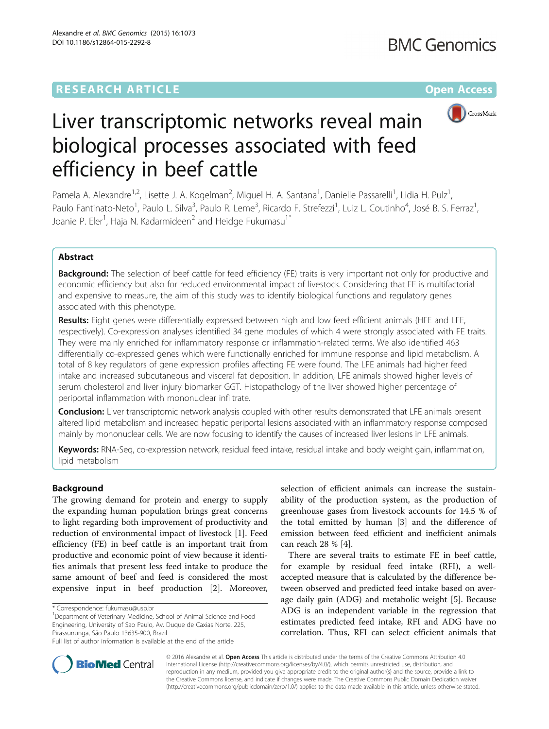# **RESEARCH ARTICLE External Structure Community Community Community Community Community Community Community Community**



# Liver transcriptomic networks reveal main biological processes associated with feed efficiency in beef cattle

Pamela A. Alexandre<sup>1,2</sup>, Lisette J. A. Kogelman<sup>2</sup>, Miguel H. A. Santana<sup>1</sup>, Danielle Passarelli<sup>1</sup>, Lidia H. Pulz<sup>1</sup> , Paulo Fantinato-Neto<sup>1</sup>, Paulo L. Silva<sup>3</sup>, Paulo R. Leme<sup>3</sup>, Ricardo F. Strefezzi<sup>1</sup>, Luiz L. Coutinho<sup>4</sup>, José B. S. Ferraz<sup>1</sup> , Joanie P. Eler $^1$ , Haja N. Kadarmideen $^2$  and Heidge Fukumasu $1^\ast$ 

## Abstract

**Background:** The selection of beef cattle for feed efficiency (FE) traits is very important not only for productive and economic efficiency but also for reduced environmental impact of livestock. Considering that FE is multifactorial and expensive to measure, the aim of this study was to identify biological functions and regulatory genes associated with this phenotype.

Results: Eight genes were differentially expressed between high and low feed efficient animals (HFE and LFE, respectively). Co-expression analyses identified 34 gene modules of which 4 were strongly associated with FE traits. They were mainly enriched for inflammatory response or inflammation-related terms. We also identified 463 differentially co-expressed genes which were functionally enriched for immune response and lipid metabolism. A total of 8 key regulators of gene expression profiles affecting FE were found. The LFE animals had higher feed intake and increased subcutaneous and visceral fat deposition. In addition, LFE animals showed higher levels of serum cholesterol and liver injury biomarker GGT. Histopathology of the liver showed higher percentage of periportal inflammation with mononuclear infiltrate.

Conclusion: Liver transcriptomic network analysis coupled with other results demonstrated that LFE animals present altered lipid metabolism and increased hepatic periportal lesions associated with an inflammatory response composed mainly by mononuclear cells. We are now focusing to identify the causes of increased liver lesions in LFE animals.

Keywords: RNA-Seq, co-expression network, residual feed intake, residual intake and body weight gain, inflammation, lipid metabolism

## Background

The growing demand for protein and energy to supply the expanding human population brings great concerns to light regarding both improvement of productivity and reduction of environmental impact of livestock [[1\]](#page-10-0). Feed efficiency (FE) in beef cattle is an important trait from productive and economic point of view because it identifies animals that present less feed intake to produce the same amount of beef and feed is considered the most expensive input in beef production [[2\]](#page-10-0). Moreover,

<sup>1</sup>Department of Veterinary Medicine, School of Animal Science and Food Engineering, University of Sao Paulo, Av. Duque de Caxias Norte, 225, Pirassununga, São Paulo 13635-900, Brazil

selection of efficient animals can increase the sustainability of the production system, as the production of greenhouse gases from livestock accounts for 14.5 % of the total emitted by human [[3\]](#page-10-0) and the difference of emission between feed efficient and inefficient animals can reach 28 % [[4\]](#page-10-0).

There are several traits to estimate FE in beef cattle, for example by residual feed intake (RFI), a wellaccepted measure that is calculated by the difference between observed and predicted feed intake based on average daily gain (ADG) and metabolic weight [\[5](#page-10-0)]. Because ADG is an independent variable in the regression that estimates predicted feed intake, RFI and ADG have no correlation. Thus, RFI can select efficient animals that



© 2016 Alexandre et al. Open Access This article is distributed under the terms of the Creative Commons Attribution 4.0 International License [\(http://creativecommons.org/licenses/by/4.0/](http://creativecommons.org/licenses/by/4.0/)), which permits unrestricted use, distribution, and reproduction in any medium, provided you give appropriate credit to the original author(s) and the source, provide a link to the Creative Commons license, and indicate if changes were made. The Creative Commons Public Domain Dedication waiver [\(http://creativecommons.org/publicdomain/zero/1.0/](http://creativecommons.org/publicdomain/zero/1.0/)) applies to the data made available in this article, unless otherwise stated.

<sup>\*</sup> Correspondence: [fukumasu@usp.br](mailto:fukumasu@usp.br) <sup>1</sup>

Full list of author information is available at the end of the article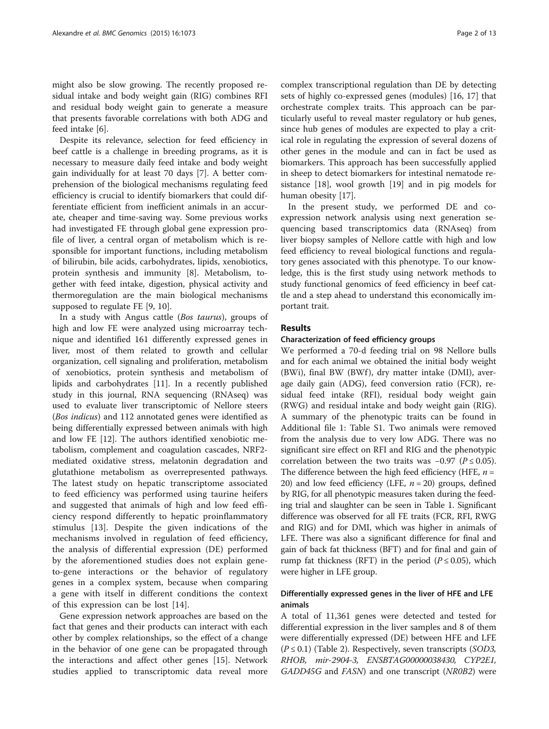might also be slow growing. The recently proposed residual intake and body weight gain (RIG) combines RFI and residual body weight gain to generate a measure that presents favorable correlations with both ADG and feed intake [\[6](#page-10-0)].

Despite its relevance, selection for feed efficiency in beef cattle is a challenge in breeding programs, as it is necessary to measure daily feed intake and body weight gain individually for at least 70 days [[7](#page-10-0)]. A better comprehension of the biological mechanisms regulating feed efficiency is crucial to identify biomarkers that could differentiate efficient from inefficient animals in an accurate, cheaper and time-saving way. Some previous works had investigated FE through global gene expression profile of liver, a central organ of metabolism which is responsible for important functions, including metabolism of bilirubin, bile acids, carbohydrates, lipids, xenobiotics, protein synthesis and immunity [[8\]](#page-10-0). Metabolism, together with feed intake, digestion, physical activity and thermoregulation are the main biological mechanisms supposed to regulate FE [\[9](#page-10-0), [10](#page-10-0)].

In a study with Angus cattle (Bos taurus), groups of high and low FE were analyzed using microarray technique and identified 161 differently expressed genes in liver, most of them related to growth and cellular organization, cell signaling and proliferation, metabolism of xenobiotics, protein synthesis and metabolism of lipids and carbohydrates [\[11](#page-10-0)]. In a recently published study in this journal, RNA sequencing (RNAseq) was used to evaluate liver transcriptomic of Nellore steers (Bos indicus) and 112 annotated genes were identified as being differentially expressed between animals with high and low FE [[12\]](#page-10-0). The authors identified xenobiotic metabolism, complement and coagulation cascades, NRF2 mediated oxidative stress, melatonin degradation and glutathione metabolism as overrepresented pathways. The latest study on hepatic transcriptome associated to feed efficiency was performed using taurine heifers and suggested that animals of high and low feed efficiency respond differently to hepatic proinflammatory stimulus [[13\]](#page-10-0). Despite the given indications of the mechanisms involved in regulation of feed efficiency, the analysis of differential expression (DE) performed by the aforementioned studies does not explain geneto-gene interactions or the behavior of regulatory genes in a complex system, because when comparing a gene with itself in different conditions the context of this expression can be lost [[14](#page-10-0)].

Gene expression network approaches are based on the fact that genes and their products can interact with each other by complex relationships, so the effect of a change in the behavior of one gene can be propagated through the interactions and affect other genes [\[15](#page-10-0)]. Network studies applied to transcriptomic data reveal more complex transcriptional regulation than DE by detecting sets of highly co-expressed genes (modules) [\[16](#page-10-0), [17](#page-10-0)] that orchestrate complex traits. This approach can be particularly useful to reveal master regulatory or hub genes, since hub genes of modules are expected to play a critical role in regulating the expression of several dozens of other genes in the module and can in fact be used as biomarkers. This approach has been successfully applied in sheep to detect biomarkers for intestinal nematode resistance [[18](#page-10-0)], wool growth [[19](#page-10-0)] and in pig models for human obesity [[17\]](#page-10-0).

In the present study, we performed DE and coexpression network analysis using next generation sequencing based transcriptomics data (RNAseq) from liver biopsy samples of Nellore cattle with high and low feed efficiency to reveal biological functions and regulatory genes associated with this phenotype. To our knowledge, this is the first study using network methods to study functional genomics of feed efficiency in beef cattle and a step ahead to understand this economically important trait.

#### Results

#### Characterization of feed efficiency groups

We performed a 70-d feeding trial on 98 Nellore bulls and for each animal we obtained the initial body weight (BWi), final BW (BWf), dry matter intake (DMI), average daily gain (ADG), feed conversion ratio (FCR), residual feed intake (RFI), residual body weight gain (RWG) and residual intake and body weight gain (RIG). A summary of the phenotypic traits can be found in Additional file [1](#page-10-0): Table S1. Two animals were removed from the analysis due to very low ADG. There was no significant sire effect on RFI and RIG and the phenotypic correlation between the two traits was  $-0.97$  ( $P \le 0.05$ ). The difference between the high feed efficiency (HFE,  $n =$ 20) and low feed efficiency (LFE,  $n = 20$ ) groups, defined by RIG, for all phenotypic measures taken during the feeding trial and slaughter can be seen in Table [1.](#page-2-0) Significant difference was observed for all FE traits (FCR, RFI, RWG and RIG) and for DMI, which was higher in animals of LFE. There was also a significant difference for final and gain of back fat thickness (BFT) and for final and gain of rump fat thickness (RFT) in the period ( $P \le 0.05$ ), which were higher in LFE group.

## Differentially expressed genes in the liver of HFE and LFE animals

A total of 11,361 genes were detected and tested for differential expression in the liver samples and 8 of them were differentially expressed (DE) between HFE and LFE  $(P \le 0.1)$  (Table [2](#page-2-0)). Respectively, seven transcripts (SOD3, RHOB, mir-2904-3, ENSBTAG00000038430, CYP2E1, GADD45G and FASN) and one transcript (NR0B2) were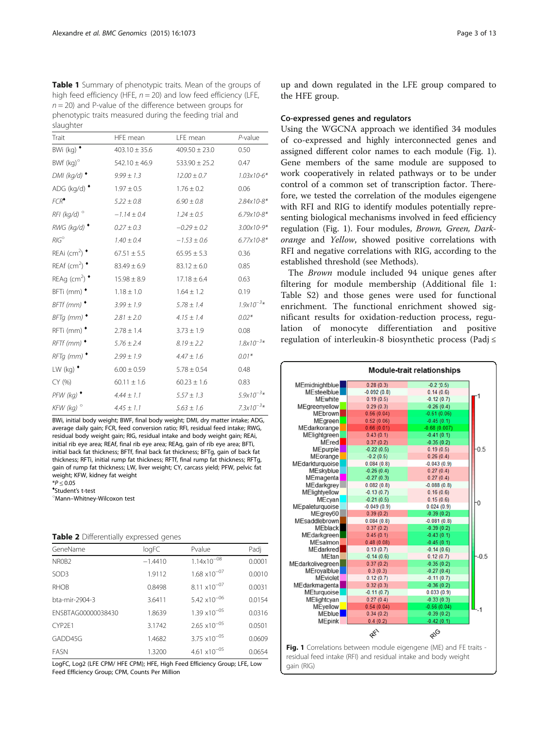<span id="page-2-0"></span>Table 1 Summary of phenotypic traits. Mean of the groups of high feed efficiency (HFE,  $n = 20$ ) and low feed efficiency (LFE,  $n = 20$ ) and P-value of the difference between groups for phenotypic traits measured during the feeding trial and slaughter

| Trait                               | HFE mean          | LFE mean          | P-value                |
|-------------------------------------|-------------------|-------------------|------------------------|
| BWi (kg) *                          | $403.10 \pm 35.6$ | $409.50 \pm 23.0$ | 0.50                   |
| BWf $(kq)$ <sup>o</sup>             | $542.10 \pm 46.9$ | $533.90 \pm 25.2$ | 0.47                   |
| $DMI$ (kg/d) $\bullet$              | $9.99 \pm 1.3$    | $12.00 \pm 0.7$   | $1.03x10-6*$           |
| $ADG$ (kg/d) $\bullet$              | $1.97 \pm 0.5$    | $1.76 \pm 0.2$    | 0.06                   |
| $FCR^{\bullet}$                     | $5.22 \pm 0.8$    | $6.90 \pm 0.8$    | $2.84 \times 10-8*$    |
| RFI (kg/d) °                        | $-1.14 \pm 0.4$   | $1.24 \pm 0.5$    | $6.79x10-8*$           |
| $RWG$ (kg/d) $\bullet$              | $0.27 \pm 0.3$    | $-0.29 \pm 0.2$   | $3.00 \times 10 - 9*$  |
| $RIG^{\circ}$                       | $1.40 \pm 0.4$    | $-1.53 \pm 0.6$   | $6.77x10-8*$           |
| REAi (cm <sup>2</sup> ) $\bullet$   | $67.51 \pm 5.5$   | $65.95 \pm 5.3$   | 0.36                   |
| REAf (cm <sup>2</sup> ) $\bullet$   | $83.49 \pm 6.9$   | $83.12 \pm 6.0$   | 0.85                   |
| $REAg$ (cm <sup>2</sup> ) $\bullet$ | $15.98 \pm 8.9$   | $17.18 \pm 6.4$   | 0.63                   |
| BFTi (mm) $*$                       | $1.18 \pm 1.0$    | $1.64 \pm 1.2$    | 0.19                   |
| $BFTf$ (mm) $\bullet$               | $3.99 \pm 1.9$    | $5.78 \pm 1.4$    | $1.9x10^{-3*}$         |
| $BFTq$ (mm) $\bullet$               | $2.81 \pm 2.0$    | $4.15 \pm 1.4$    | $0.02*$                |
| RFTi (mm) *                         | $2.78 \pm 1.4$    | $3.73 \pm 1.9$    | 0.08                   |
| $RFTf$ (mm) $\bullet$               | $5.76 \pm 2.4$    | $8.19 \pm 2.2$    | $1.8 \times 10^{-3*}$  |
| $RFTg$ (mm) $\bullet$               | $2.99 \pm 1.9$    | $4.47 \pm 1.6$    | $0.01*$                |
| $LW$ (kg) $\bullet$                 | $6.00 \pm 0.59$   | $5.78 \pm 0.54$   | 0.48                   |
| CY (%)                              | $60.11 \pm 1.6$   | $60.23 \pm 1.6$   | 0.83                   |
| $PFW$ (kg) $\bullet$                | $4.44 \pm 1.1$    | $5.57 \pm 1.3$    | $5.9x10^{-3*}$         |
| $KFW$ (kg) $^{\circ}$               | $4.45 \pm 1.1$    | $5.63 \pm 1.6$    | $7.3 \times 10^{-3}$ * |

BWi, initial body weight; BWF, final body weight; DMI, dry matter intake; ADG, average daily gain; FCR, feed conversion ratio; RFI, residual feed intake; RWG, residual body weight gain; RIG, residual intake and body weight gain; REAi, initial rib eye area; REAf, final rib eye area; REAg, gain of rib eye area; BFTi, initial back fat thickness; BFTf, final back fat thickness; BFTg, gain of back fat thickness; RFTi, initial rump fat thickness; RFTf, final rump fat thickness; RFTg, gain of rump fat thickness; LW, liver weight; CY, carcass yield; PFW, pelvic fat weight; KFW, kidney fat weight

 $*P \le 0.05$ 

\*Student's t-test

Mann–Whitney-Wilcoxon test

| Table 2 Differentially expressed genes |  |
|----------------------------------------|--|
|----------------------------------------|--|

| GeneName           | logFC     | Pvalue                          | Padj   |
|--------------------|-----------|---------------------------------|--------|
| NR0B2              | $-1.4410$ | $1.14 \times 10^{-08}$          | 0.0001 |
| SOD3               | 1.9112    | $1.68 \times 10^{-07}$          | 0.0010 |
| RHOB               | 0.8498    | $8.11 \times 10^{-07}$          | 0.0031 |
| bta-mir-2904-3     | 3.6411    | 5.42 $\times$ 10 <sup>-06</sup> | 0.0154 |
| FNSBTAG00000038430 | 1.8639    | $1.39 \times 10^{-05}$          | 0.0316 |
| CYP2F1             | 3.1742    | $2.65 \times 10^{-05}$          | 0.0501 |
| GADD45G            | 1.4682    | $3.75 \times 10^{-05}$          | 0.0609 |
| FASN               | 1.3200    | 4.61 $\times$ 10 <sup>-05</sup> | 0.0654 |

LogFC, Log2 (LFE CPM/ HFE CPM); HFE, High Feed Efficiency Group; LFE, Low Feed Efficiency Group; CPM, Counts Per Million

up and down regulated in the LFE group compared to the HFE group.

#### Co-expressed genes and regulators

Using the WGCNA approach we identified 34 modules of co-expressed and highly interconnected genes and assigned different color names to each module (Fig. 1). Gene members of the same module are supposed to work cooperatively in related pathways or to be under control of a common set of transcription factor. Therefore, we tested the correlation of the modules eigengene with RFI and RIG to identify modules potentially representing biological mechanisms involved in feed efficiency regulation (Fig. 1). Four modules, Brown, Green, Darkorange and Yellow, showed positive correlations with RFI and negative correlations with RIG, according to the established threshold (see [Methods\)](#page-6-0).

The Brown module included 94 unique genes after filtering for module membership (Additional file [1](#page-10-0): Table S2) and those genes were used for functional enrichment. The functional enrichment showed significant results for oxidation-reduction process, regulation of monocyte differentiation and positive regulation of interleukin-8 biosynthetic process (Padj ≤

| <b>Module-trait relationships</b> |               |                |        |  |
|-----------------------------------|---------------|----------------|--------|--|
| MEmidnightblue                    | 0.28(0.3)     | $-0.2(0.5)$    |        |  |
| <b>MEsteelblue</b>                | $-0.092(0.8)$ | 0.14(0.6)      |        |  |
| <b>MEwhite</b>                    | 0.19(0.5)     | $-0.12(0.7)$   |        |  |
| <b>MEgreenyellow</b>              | 0.29(0.3)     | $-0.26(0.4)$   |        |  |
| <b>MEbrown</b>                    | 0.56(0.04)    | $-0.51(0.06)$  |        |  |
| <b>MEgreen</b>                    | 0.52(0.06)    | $-0.45(0.1)$   |        |  |
| MEdarkorange                      | 0.66(0.01)    | $-0.68(0.007)$ |        |  |
| MElightgreen                      | 0.43(0.1)     | $-0.41(0.1)$   |        |  |
| <b>MEred</b>                      | 0.37(0.2)     | $-0.35(0.2)$   |        |  |
| <b>MEpurple</b>                   | $-0.22(0.5)$  | 0.19(0.5)      | $-0.5$ |  |
| MEorange                          | $-0.2(0.5)$   | 0.26(0.4)      |        |  |
| MEdarkturguoise                   | 0.084(0.8)    | $-0.043(0.9)$  |        |  |
| <b>MEskyblue</b>                  | $-0.26(0.4)$  | 0.27(0.4)      |        |  |
| MEmagenta                         | $-0.27(0.3)$  | 0.27(0.4)      |        |  |
| MEdarkgrev                        | 0.082(0.8)    | $-0.088(0.8)$  |        |  |
| <b>MElightvellow</b>              | $-0.13(0.7)$  | 0.16(0.6)      |        |  |
| MEcvan                            | $-0.21(0.5)$  | 0.15(0.6)      |        |  |
| MEpaleturguoise                   | $-0.049(0.9)$ | 0.024(0.9)     | 0      |  |
| MEgrey60                          | 0.39(0.2)     | $-0.39(0.2)$   |        |  |
| MEsaddlebrown                     | 0.084(0.8)    | $-0.081(0.8)$  |        |  |
| <b>MEblack</b>                    | 0.37(0.2)     | $-0.39(0.2)$   |        |  |
| MEdarkgreen                       | 0.45(0.1)     | $-0.43(0.1)$   |        |  |
| <b>MEsalmon</b>                   | 0.48(0.08)    | $-0.45(0.1)$   |        |  |
| MEdarkred                         | 0.13(0.7)     | $-0.14(0.6)$   |        |  |
| <b>MEtan</b>                      | $-0.14(0.6)$  | 0.12(0.7)      | $-0.5$ |  |
| <b>MEdarkolivegreen</b>           | 0.37(0.2)     | $-0.35(0.2)$   |        |  |
| MEroyalblue                       | 0.3(0.3)      | $-0.27(0.4)$   |        |  |
| <b>MEviolet</b>                   | 0.12(0.7)     | $-0.11(0.7)$   |        |  |
| MEdarkmagenta                     | 0.32(0.3)     | $-0.36(0.2)$   |        |  |
| MEturquoise                       | $-0.11(0.7)$  | 0.033(0.9)     |        |  |
| MElightcyan                       | 0.27(0.4)     | $-0.33(0.3)$   |        |  |
| <b>MEvellow</b>                   | 0.54(0.04)    | $-0.56(0.04)$  |        |  |
| <b>MEblue</b>                     | 0.34(0.2)     | $-0.39(0.2)$   |        |  |
| <b>MEpink</b>                     | 0.4(0.2)      | $-0.42(0.1)$   |        |  |
|                                   | ¢Š            | RIG            |        |  |

Fig. 1 Correlations between module eigengene (ME) and FE traits residual feed intake (RFI) and residual intake and body weight gain (RIG)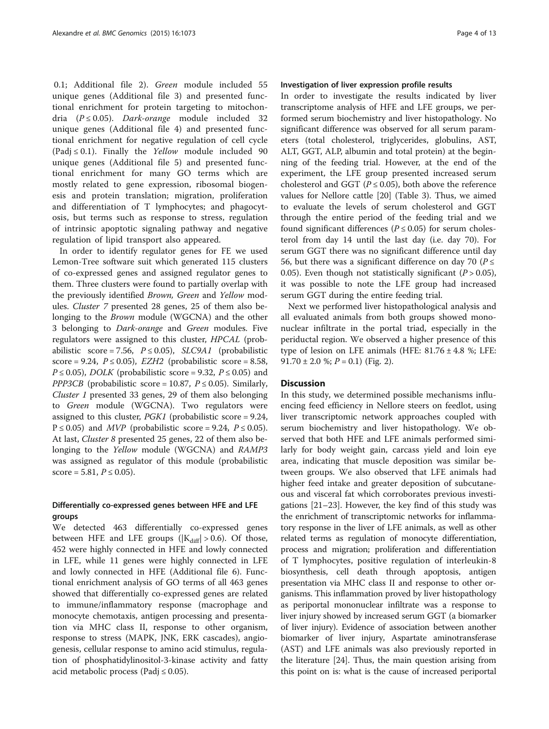0.1; Additional file [2\)](#page-10-0). Green module included 55 unique genes (Additional file [3](#page-10-0)) and presented functional enrichment for protein targeting to mitochondria ( $P \le 0.05$ ). Dark-orange module included 32 unique genes (Additional file [4](#page-10-0)) and presented functional enrichment for negative regulation of cell cycle (Padj  $\leq$  0.1). Finally the *Yellow* module included 90 unique genes (Additional file [5](#page-10-0)) and presented functional enrichment for many GO terms which are mostly related to gene expression, ribosomal biogenesis and protein translation; migration, proliferation and differentiation of T lymphocytes; and phagocytosis, but terms such as response to stress, regulation of intrinsic apoptotic signaling pathway and negative regulation of lipid transport also appeared.

In order to identify regulator genes for FE we used Lemon-Tree software suit which generated 115 clusters of co-expressed genes and assigned regulator genes to them. Three clusters were found to partially overlap with the previously identified Brown, Green and Yellow modules. Cluster 7 presented 28 genes, 25 of them also belonging to the Brown module (WGCNA) and the other 3 belonging to Dark-orange and Green modules. Five regulators were assigned to this cluster, HPCAL (probabilistic score = 7.56,  $P \le 0.05$ ), SLC9A1 (probabilistic score = 9.24,  $P \le 0.05$ ),  $EZH2$  (probabilistic score = 8.58,  $P \le 0.05$ ), *DOLK* (probabilistic score = 9.32,  $P \le 0.05$ ) and *PPP3CB* (probabilistic score = 10.87,  $P \le 0.05$ ). Similarly, Cluster 1 presented 33 genes, 29 of them also belonging to Green module (WGCNA). Two regulators were assigned to this cluster, PGK1 (probabilistic score = 9.24,  $P \le 0.05$ ) and MVP (probabilistic score = 9.24,  $P \le 0.05$ ). At last, Cluster 8 presented 25 genes, 22 of them also belonging to the Yellow module (WGCNA) and RAMP3 was assigned as regulator of this module (probabilistic score = 5.81,  $P \le 0.05$ ).

## Differentially co-expressed genes between HFE and LFE groups

We detected 463 differentially co-expressed genes between HFE and LFE groups ( $|K_{diff}| > 0.6$ ). Of those, 452 were highly connected in HFE and lowly connected in LFE, while 11 genes were highly connected in LFE and lowly connected in HFE (Additional file [6\)](#page-10-0). Functional enrichment analysis of GO terms of all 463 genes showed that differentially co-expressed genes are related to immune/inflammatory response (macrophage and monocyte chemotaxis, antigen processing and presentation via MHC class II, response to other organism, response to stress (MAPK, JNK, ERK cascades), angiogenesis, cellular response to amino acid stimulus, regulation of phosphatidylinositol-3-kinase activity and fatty acid metabolic process (Padj  $\leq 0.05$ ).

#### Investigation of liver expression profile results

In order to investigate the results indicated by liver transcriptome analysis of HFE and LFE groups, we performed serum biochemistry and liver histopathology. No significant difference was observed for all serum parameters (total cholesterol, triglycerides, globulins, AST, ALT, GGT, ALP, albumin and total protein) at the beginning of the feeding trial. However, at the end of the experiment, the LFE group presented increased serum cholesterol and GGT ( $P \le 0.05$ ), both above the reference values for Nellore cattle [[20\]](#page-10-0) (Table [3\)](#page-4-0). Thus, we aimed to evaluate the levels of serum cholesterol and GGT through the entire period of the feeding trial and we found significant differences ( $P \le 0.05$ ) for serum cholesterol from day 14 until the last day (i.e. day 70). For serum GGT there was no significant difference until day 56, but there was a significant difference on day 70 ( $P \leq$ 0.05). Even though not statistically significant  $(P > 0.05)$ , it was possible to note the LFE group had increased serum GGT during the entire feeding trial.

Next we performed liver histopathological analysis and all evaluated animals from both groups showed mononuclear infiltrate in the portal triad, especially in the periductal region. We observed a higher presence of this type of lesion on LFE animals (HFE:  $81.76 \pm 4.8$  %; LFE:  $91.70 \pm 2.0$  %;  $P = 0.1$ ) (Fig. [2\)](#page-4-0).

#### **Discussion**

In this study, we determined possible mechanisms influencing feed efficiency in Nellore steers on feedlot, using liver transcriptomic network approaches coupled with serum biochemistry and liver histopathology. We observed that both HFE and LFE animals performed similarly for body weight gain, carcass yield and loin eye area, indicating that muscle deposition was similar between groups. We also observed that LFE animals had higher feed intake and greater deposition of subcutaneous and visceral fat which corroborates previous investigations [\[21](#page-11-0)–[23\]](#page-11-0). However, the key find of this study was the enrichment of transcriptomic networks for inflammatory response in the liver of LFE animals, as well as other related terms as regulation of monocyte differentiation, process and migration; proliferation and differentiation of T lymphocytes, positive regulation of interleukin-8 biosynthesis, cell death through apoptosis, antigen presentation via MHC class II and response to other organisms. This inflammation proved by liver histopathology as periportal mononuclear infiltrate was a response to liver injury showed by increased serum GGT (a biomarker of liver injury). Evidence of association between another biomarker of liver injury, Aspartate aminotransferase (AST) and LFE animals was also previously reported in the literature [[24](#page-11-0)]. Thus, the main question arising from this point on is: what is the cause of increased periportal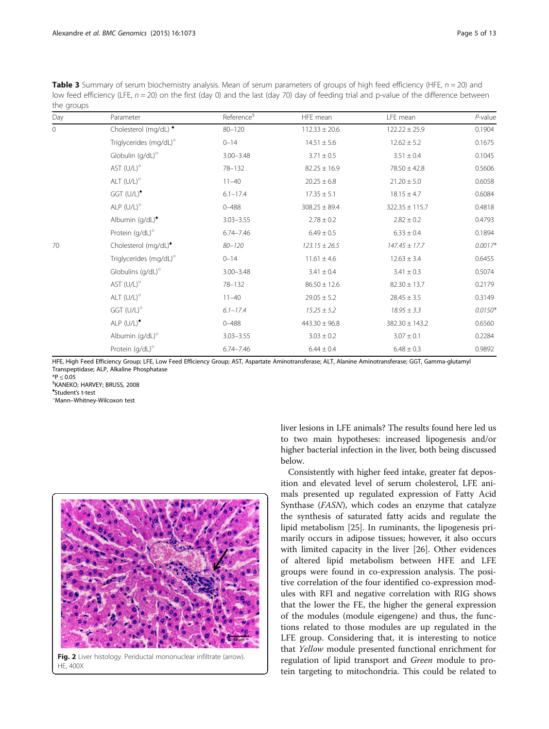<span id="page-4-0"></span>**Table 3** Summary of serum biochemistry analysis. Mean of serum parameters of groups of high feed efficiency (HFE,  $n = 20$ ) and low feed efficiency (LFE,  $n = 20$ ) on the first (day 0) and the last (day 70) day of feeding trial and p-value of the difference between the groups

| Day | Parameter                        | Reference <sup>§</sup> | HFE mean          | LFE mean           | $P$ -value |
|-----|----------------------------------|------------------------|-------------------|--------------------|------------|
| 0   | Cholesterol (mg/dL) *            | $80 - 120$             | $112.33 \pm 20.6$ | $122.22 \pm 25.9$  | 0.1904     |
|     | Triglycerides (mg/dL)°           | $0 - 14$               | $14.51 \pm 5.6$   | $12.62 \pm 5.2$    | 0.1675     |
|     | Globulin (g/dL)°                 | $3.00 - 3.48$          | $3.71 \pm 0.5$    | $3.51 \pm 0.4$     | 0.1045     |
|     | AST $(U/L)^\circ$                | 78-132                 | $82.25 \pm 16.9$  | $78.50 \pm 42.8$   | 0.5606     |
|     | ALT $(U/L)$ °                    | $11 - 40$              | $20.25 \pm 6.8$   | $21.20 \pm 5.0$    | 0.6058     |
|     | $GGT$ (U/L) $^{\bullet}$         | $6.1 - 17.4$           | $17.35 \pm 5.1$   | $18.15 \pm 4.7$    | 0.6084     |
|     | ALP $(U/L)$ <sup>o</sup>         | $0 - 488$              | $308.25 \pm 89.4$ | $322.35 \pm 115.7$ | 0.4818     |
|     | Albumin (g/dL)*                  | $3.03 - 3.55$          | $2.78 \pm 0.2$    | $2.82 \pm 0.2$     | 0.4793     |
|     | Protein (g/dL)°                  | $6.74 - 7.46$          | $6.49 \pm 0.5$    | $6.33 \pm 0.4$     | 0.1894     |
| 70  | Cholesterol (mg/dL) <sup>•</sup> | $80 - 120$             | $123.15 \pm 26.5$ | $147.45 \pm 17.7$  | $0.0017*$  |
|     | Triglycerides (mg/dL)°           | $0 - 14$               | $11.61 \pm 4.6$   | $12.63 \pm 3.4$    | 0.6455     |
|     | Globulins (g/dL)°                | $3.00 - 3.48$          | $3.41 \pm 0.4$    | $3.41 \pm 0.3$     | 0.5074     |
|     | AST $(U/L)^\circ$                | $78 - 132$             | $86.50 \pm 12.6$  | $82.30 \pm 13.7$   | 0.2179     |
|     | ALT $(U/L)^\circ$                | $11 - 40$              | $29.05 \pm 5.2$   | $28.45 \pm 3.5$    | 0.3149     |
|     | $GGT$ (U/L) $^{\circ}$           | $6.1 - 17.4$           | $15.25 \pm 5.2$   | $18.95 \pm 3.3$    | $0.0150*$  |
|     | ALP $(U/L)^*$                    | $0 - 488$              | $443.30 \pm 96.8$ | $382.30 \pm 143.2$ | 0.6560     |
|     | Albumin (g/dL)°                  | $3.03 - 3.55$          | $3.03 \pm 0.2$    | $3.07 \pm 0.1$     | 0.2284     |
|     | Protein (g/dL)°                  | $6.74 - 7.46$          | $6.44 \pm 0.4$    | $6.48 \pm 0.3$     | 0.9892     |

HFE, High Feed Efficiency Group; LFE, Low Feed Efficiency Group; AST, Aspartate Aminotransferase; ALT, Alanine Aminotransferase; GGT, Gamma-glutamyl Transpeptidase; ALP, Alkaline Phosphatase

\*P ≤ 0.05<br><sup>§</sup>KANEKO; HARVEY; BRUSS, 2008

\*Student's t-test<br>
Mann-Whitney Mann–Whitney-Wilcoxon test



Fig. 2 Liver histology. Periductal mononuclear infiltrate (arrow). HE, 400X

liver lesions in LFE animals? The results found here led us to two main hypotheses: increased lipogenesis and/or higher bacterial infection in the liver, both being discussed below.

Consistently with higher feed intake, greater fat deposition and elevated level of serum cholesterol, LFE animals presented up regulated expression of Fatty Acid Synthase (FASN), which codes an enzyme that catalyze the synthesis of saturated fatty acids and regulate the lipid metabolism [\[25](#page-11-0)]. In ruminants, the lipogenesis primarily occurs in adipose tissues; however, it also occurs with limited capacity in the liver [[26](#page-11-0)]. Other evidences of altered lipid metabolism between HFE and LFE groups were found in co-expression analysis. The positive correlation of the four identified co-expression modules with RFI and negative correlation with RIG shows that the lower the FE, the higher the general expression of the modules (module eigengene) and thus, the functions related to those modules are up regulated in the LFE group. Considering that, it is interesting to notice that Yellow module presented functional enrichment for regulation of lipid transport and Green module to protein targeting to mitochondria. This could be related to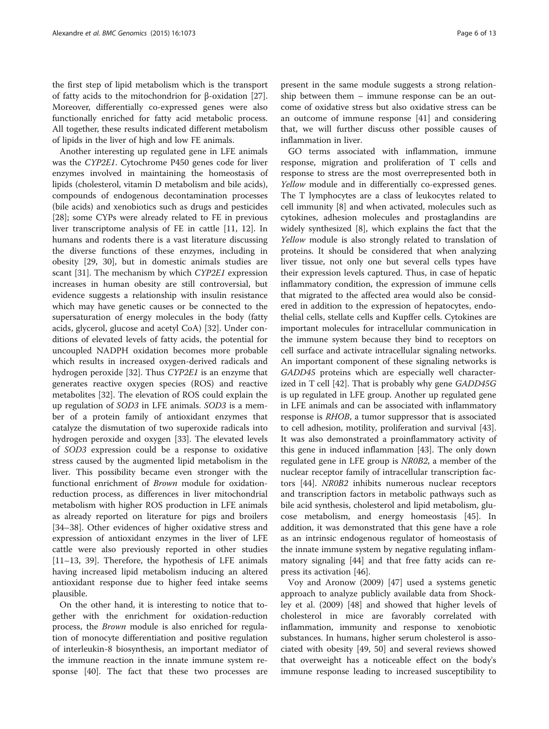the first step of lipid metabolism which is the transport of fatty acids to the mitochondrion for β-oxidation [\[27](#page-11-0)]. Moreover, differentially co-expressed genes were also functionally enriched for fatty acid metabolic process. All together, these results indicated different metabolism of lipids in the liver of high and low FE animals.

Another interesting up regulated gene in LFE animals was the CYP2E1. Cytochrome P450 genes code for liver enzymes involved in maintaining the homeostasis of lipids (cholesterol, vitamin D metabolism and bile acids), compounds of endogenous decontamination processes (bile acids) and xenobiotics such as drugs and pesticides [[28\]](#page-11-0); some CYPs were already related to FE in previous liver transcriptome analysis of FE in cattle [[11, 12](#page-10-0)]. In humans and rodents there is a vast literature discussing the diverse functions of these enzymes, including in obesity [[29, 30](#page-11-0)], but in domestic animals studies are scant [\[31\]](#page-11-0). The mechanism by which CYP2E1 expression increases in human obesity are still controversial, but evidence suggests a relationship with insulin resistance which may have genetic causes or be connected to the supersaturation of energy molecules in the body (fatty acids, glycerol, glucose and acetyl CoA) [[32\]](#page-11-0). Under conditions of elevated levels of fatty acids, the potential for uncoupled NADPH oxidation becomes more probable which results in increased oxygen-derived radicals and hydrogen peroxide [[32](#page-11-0)]. Thus CYP2E1 is an enzyme that generates reactive oxygen species (ROS) and reactive metabolites [[32\]](#page-11-0). The elevation of ROS could explain the up regulation of SOD3 in LFE animals. SOD3 is a member of a protein family of antioxidant enzymes that catalyze the dismutation of two superoxide radicals into hydrogen peroxide and oxygen [\[33](#page-11-0)]. The elevated levels of SOD3 expression could be a response to oxidative stress caused by the augmented lipid metabolism in the liver. This possibility became even stronger with the functional enrichment of Brown module for oxidationreduction process, as differences in liver mitochondrial metabolism with higher ROS production in LFE animals as already reported on literature for pigs and broilers [[34](#page-11-0)–[38](#page-11-0)]. Other evidences of higher oxidative stress and expression of antioxidant enzymes in the liver of LFE cattle were also previously reported in other studies [[11](#page-10-0)–[13](#page-10-0), [39](#page-11-0)]. Therefore, the hypothesis of LFE animals having increased lipid metabolism inducing an altered antioxidant response due to higher feed intake seems plausible.

On the other hand, it is interesting to notice that together with the enrichment for oxidation-reduction process, the Brown module is also enriched for regulation of monocyte differentiation and positive regulation of interleukin-8 biosynthesis, an important mediator of the immune reaction in the innate immune system response [\[40](#page-11-0)]. The fact that these two processes are

present in the same module suggests a strong relationship between them – immune response can be an outcome of oxidative stress but also oxidative stress can be an outcome of immune response [\[41\]](#page-11-0) and considering that, we will further discuss other possible causes of inflammation in liver.

GO terms associated with inflammation, immune response, migration and proliferation of T cells and response to stress are the most overrepresented both in Yellow module and in differentially co-expressed genes. The T lymphocytes are a class of leukocytes related to cell immunity [[8\]](#page-10-0) and when activated, molecules such as cytokines, adhesion molecules and prostaglandins are widely synthesized [[8\]](#page-10-0), which explains the fact that the Yellow module is also strongly related to translation of proteins. It should be considered that when analyzing liver tissue, not only one but several cells types have their expression levels captured. Thus, in case of hepatic inflammatory condition, the expression of immune cells that migrated to the affected area would also be considered in addition to the expression of hepatocytes, endothelial cells, stellate cells and Kupffer cells. Cytokines are important molecules for intracellular communication in the immune system because they bind to receptors on cell surface and activate intracellular signaling networks. An important component of these signaling networks is GADD45 proteins which are especially well characterized in T cell [[42\]](#page-11-0). That is probably why gene GADD45G is up regulated in LFE group. Another up regulated gene in LFE animals and can be associated with inflammatory response is RHOB, a tumor suppressor that is associated to cell adhesion, motility, proliferation and survival [\[43](#page-11-0)]. It was also demonstrated a proinflammatory activity of this gene in induced inflammation [[43\]](#page-11-0). The only down regulated gene in LFE group is NR0B2, a member of the nuclear receptor family of intracellular transcription factors [[44\]](#page-11-0). NR0B2 inhibits numerous nuclear receptors and transcription factors in metabolic pathways such as bile acid synthesis, cholesterol and lipid metabolism, glucose metabolism, and energy homeostasis [[45\]](#page-11-0). In addition, it was demonstrated that this gene have a role as an intrinsic endogenous regulator of homeostasis of the innate immune system by negative regulating inflammatory signaling [\[44](#page-11-0)] and that free fatty acids can repress its activation [[46\]](#page-11-0).

Voy and Aronow (2009) [\[47\]](#page-11-0) used a systems genetic approach to analyze publicly available data from Shockley et al. (2009) [\[48\]](#page-11-0) and showed that higher levels of cholesterol in mice are favorably correlated with inflammation, immunity and response to xenobiotic substances. In humans, higher serum cholesterol is associated with obesity [\[49, 50\]](#page-11-0) and several reviews showed that overweight has a noticeable effect on the body's immune response leading to increased susceptibility to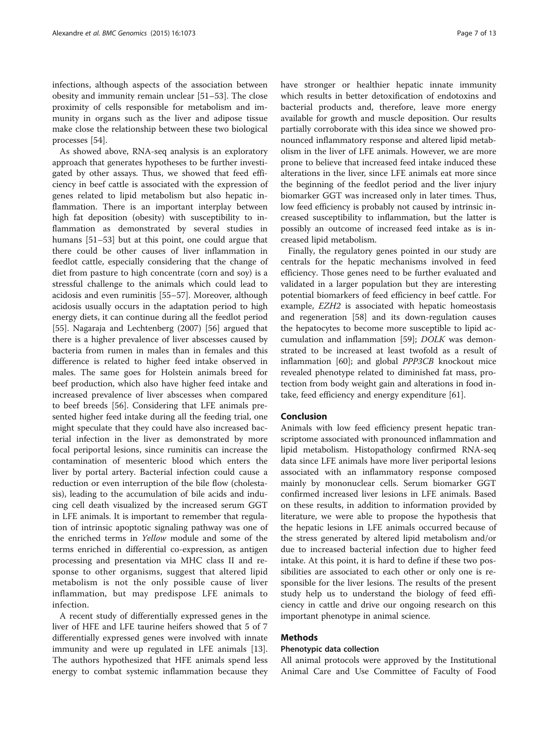<span id="page-6-0"></span>infections, although aspects of the association between obesity and immunity remain unclear [\[51](#page-11-0)–[53\]](#page-11-0). The close proximity of cells responsible for metabolism and immunity in organs such as the liver and adipose tissue make close the relationship between these two biological processes [\[54](#page-11-0)].

As showed above, RNA-seq analysis is an exploratory approach that generates hypotheses to be further investigated by other assays. Thus, we showed that feed efficiency in beef cattle is associated with the expression of genes related to lipid metabolism but also hepatic inflammation. There is an important interplay between high fat deposition (obesity) with susceptibility to inflammation as demonstrated by several studies in humans [\[51](#page-11-0)–[53\]](#page-11-0) but at this point, one could argue that there could be other causes of liver inflammation in feedlot cattle, especially considering that the change of diet from pasture to high concentrate (corn and soy) is a stressful challenge to the animals which could lead to acidosis and even ruminitis [[55](#page-11-0)–[57](#page-11-0)]. Moreover, although acidosis usually occurs in the adaptation period to high energy diets, it can continue during all the feedlot period [[55\]](#page-11-0). Nagaraja and Lechtenberg (2007) [[56\]](#page-11-0) argued that there is a higher prevalence of liver abscesses caused by bacteria from rumen in males than in females and this difference is related to higher feed intake observed in males. The same goes for Holstein animals breed for beef production, which also have higher feed intake and increased prevalence of liver abscesses when compared to beef breeds [\[56](#page-11-0)]. Considering that LFE animals presented higher feed intake during all the feeding trial, one might speculate that they could have also increased bacterial infection in the liver as demonstrated by more focal periportal lesions, since ruminitis can increase the contamination of mesenteric blood which enters the liver by portal artery. Bacterial infection could cause a reduction or even interruption of the bile flow (cholestasis), leading to the accumulation of bile acids and inducing cell death visualized by the increased serum GGT in LFE animals. It is important to remember that regulation of intrinsic apoptotic signaling pathway was one of the enriched terms in Yellow module and some of the terms enriched in differential co-expression, as antigen processing and presentation via MHC class II and response to other organisms, suggest that altered lipid metabolism is not the only possible cause of liver inflammation, but may predispose LFE animals to infection.

A recent study of differentially expressed genes in the liver of HFE and LFE taurine heifers showed that 5 of 7 differentially expressed genes were involved with innate immunity and were up regulated in LFE animals [\[13](#page-10-0)]. The authors hypothesized that HFE animals spend less energy to combat systemic inflammation because they have stronger or healthier hepatic innate immunity which results in better detoxification of endotoxins and bacterial products and, therefore, leave more energy available for growth and muscle deposition. Our results partially corroborate with this idea since we showed pronounced inflammatory response and altered lipid metabolism in the liver of LFE animals. However, we are more prone to believe that increased feed intake induced these alterations in the liver, since LFE animals eat more since the beginning of the feedlot period and the liver injury biomarker GGT was increased only in later times. Thus, low feed efficiency is probably not caused by intrinsic increased susceptibility to inflammation, but the latter is possibly an outcome of increased feed intake as is increased lipid metabolism.

Finally, the regulatory genes pointed in our study are centrals for the hepatic mechanisms involved in feed efficiency. Those genes need to be further evaluated and validated in a larger population but they are interesting potential biomarkers of feed efficiency in beef cattle. For example, EZH2 is associated with hepatic homeostasis and regeneration [\[58](#page-11-0)] and its down-regulation causes the hepatocytes to become more susceptible to lipid accumulation and inflammation [\[59](#page-11-0)]; DOLK was demonstrated to be increased at least twofold as a result of inflammation [[60](#page-11-0)]; and global PPP3CB knockout mice revealed phenotype related to diminished fat mass, protection from body weight gain and alterations in food intake, feed efficiency and energy expenditure [\[61](#page-11-0)].

## Conclusion

Animals with low feed efficiency present hepatic transcriptome associated with pronounced inflammation and lipid metabolism. Histopathology confirmed RNA-seq data since LFE animals have more liver periportal lesions associated with an inflammatory response composed mainly by mononuclear cells. Serum biomarker GGT confirmed increased liver lesions in LFE animals. Based on these results, in addition to information provided by literature, we were able to propose the hypothesis that the hepatic lesions in LFE animals occurred because of the stress generated by altered lipid metabolism and/or due to increased bacterial infection due to higher feed intake. At this point, it is hard to define if these two possibilities are associated to each other or only one is responsible for the liver lesions. The results of the present study help us to understand the biology of feed efficiency in cattle and drive our ongoing research on this important phenotype in animal science.

#### Methods

## Phenotypic data collection

All animal protocols were approved by the Institutional Animal Care and Use Committee of Faculty of Food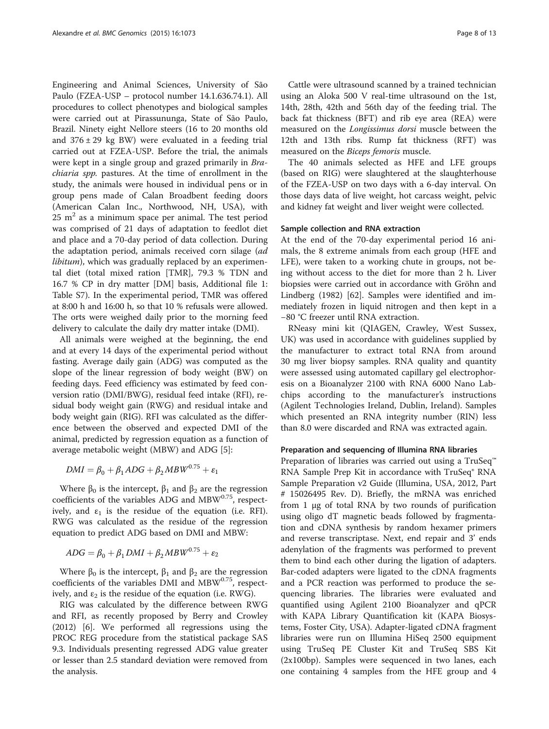Engineering and Animal Sciences, University of São Paulo (FZEA-USP – protocol number 14.1.636.74.1). All procedures to collect phenotypes and biological samples were carried out at Pirassununga, State of São Paulo, Brazil. Ninety eight Nellore steers (16 to 20 months old and  $376 \pm 29$  kg BW) were evaluated in a feeding trial carried out at FZEA-USP. Before the trial, the animals were kept in a single group and grazed primarily in Brachiaria spp. pastures. At the time of enrollment in the study, the animals were housed in individual pens or in group pens made of Calan Broadbent feeding doors (American Calan Inc., Northwood, NH, USA), with  $25 \text{ m}^2$  as a minimum space per animal. The test period was comprised of 21 days of adaptation to feedlot diet and place and a 70-day period of data collection. During the adaptation period, animals received corn silage (ad libitum), which was gradually replaced by an experimental diet (total mixed ration [TMR], 79.3 % TDN and 16.7 % CP in dry matter [DM] basis, Additional file [1](#page-10-0): Table S7). In the experimental period, TMR was offered at 8:00 h and 16:00 h, so that 10 % refusals were allowed. The orts were weighed daily prior to the morning feed delivery to calculate the daily dry matter intake (DMI).

All animals were weighed at the beginning, the end and at every 14 days of the experimental period without fasting. Average daily gain (ADG) was computed as the slope of the linear regression of body weight (BW) on feeding days. Feed efficiency was estimated by feed conversion ratio (DMI/BWG), residual feed intake (RFI), residual body weight gain (RWG) and residual intake and body weight gain (RIG). RFI was calculated as the difference between the observed and expected DMI of the animal, predicted by regression equation as a function of average metabolic weight (MBW) and ADG [\[5](#page-10-0)]:

$$
DMI = \beta_0 + \beta_1 ADG + \beta_2 MBW^{0.75} + \varepsilon_1
$$

Where  $\beta_0$  is the intercept,  $\beta_1$  and  $\beta_2$  are the regression coefficients of the variables ADG and MBW $^{0.75}$ , respectively, and  $\varepsilon_1$  is the residue of the equation (i.e. RFI). RWG was calculated as the residue of the regression equation to predict ADG based on DMI and MBW:

$$
ADG = \beta_0 + \beta_1 DMI + \beta_2 MBW^{0.75} + \varepsilon_2
$$

Where  $\beta_0$  is the intercept,  $\beta_1$  and  $\beta_2$  are the regression coefficients of the variables DMI and MBW0.75, respectively, and  $\varepsilon_2$  is the residue of the equation (i.e. RWG).

RIG was calculated by the difference between RWG and RFI, as recently proposed by Berry and Crowley (2012) [[6\]](#page-10-0). We performed all regressions using the PROC REG procedure from the statistical package SAS 9.3. Individuals presenting regressed ADG value greater or lesser than 2.5 standard deviation were removed from the analysis.

Cattle were ultrasound scanned by a trained technician using an Aloka 500 V real-time ultrasound on the 1st, 14th, 28th, 42th and 56th day of the feeding trial. The back fat thickness (BFT) and rib eye area (REA) were measured on the Longissimus dorsi muscle between the 12th and 13th ribs. Rump fat thickness (RFT) was measured on the Biceps femoris muscle.

The 40 animals selected as HFE and LFE groups (based on RIG) were slaughtered at the slaughterhouse of the FZEA-USP on two days with a 6-day interval. On those days data of live weight, hot carcass weight, pelvic and kidney fat weight and liver weight were collected.

#### Sample collection and RNA extraction

At the end of the 70-day experimental period 16 animals, the 8 extreme animals from each group (HFE and LFE), were taken to a working chute in groups, not being without access to the diet for more than 2 h. Liver biopsies were carried out in accordance with Gröhn and Lindberg (1982) [[62\]](#page-11-0). Samples were identified and immediately frozen in liquid nitrogen and then kept in a −80 °C freezer until RNA extraction.

RNeasy mini kit (QIAGEN, Crawley, West Sussex, UK) was used in accordance with guidelines supplied by the manufacturer to extract total RNA from around 30 mg liver biopsy samples. RNA quality and quantity were assessed using automated capillary gel electrophoresis on a Bioanalyzer 2100 with RNA 6000 Nano Labchips according to the manufacturer's instructions (Agilent Technologies Ireland, Dublin, Ireland). Samples which presented an RNA integrity number (RIN) less than 8.0 were discarded and RNA was extracted again.

#### Preparation and sequencing of Illumina RNA libraries

Preparation of libraries was carried out using a TruSeq™ RNA Sample Prep Kit in accordance with TruSeq® RNA Sample Preparation v2 Guide (Illumina, USA, 2012, Part # 15026495 Rev. D). Briefly, the mRNA was enriched from 1 μg of total RNA by two rounds of purification using oligo dT magnetic beads followed by fragmentation and cDNA synthesis by random hexamer primers and reverse transcriptase. Next, end repair and 3' ends adenylation of the fragments was performed to prevent them to bind each other during the ligation of adapters. Bar-coded adapters were ligated to the cDNA fragments and a PCR reaction was performed to produce the sequencing libraries. The libraries were evaluated and quantified using Agilent 2100 Bioanalyzer and qPCR with KAPA Library Quantification kit (KAPA Biosystems, Foster City, USA). Adapter-ligated cDNA fragment libraries were run on Illumina HiSeq 2500 equipment using TruSeq PE Cluster Kit and TruSeq SBS Kit (2x100bp). Samples were sequenced in two lanes, each one containing 4 samples from the HFE group and 4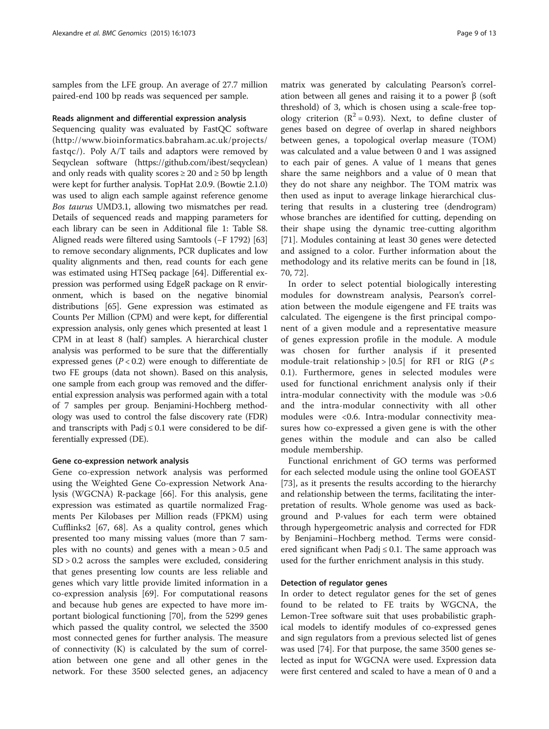samples from the LFE group. An average of 27.7 million paired-end 100 bp reads was sequenced per sample.

#### Reads alignment and differential expression analysis

Sequencing quality was evaluated by FastQC software ([http://www.bioinformatics.babraham.ac.uk/projects/](http://www.bioinformatics.babraham.ac.uk/projects/fastqc/) [fastqc/\)](http://www.bioinformatics.babraham.ac.uk/projects/fastqc/). Poly A/T tails and adaptors were removed by Seqyclean software [\(https://github.com/ibest/seqyclean](https://github.com/ibest/seqyclean)) and only reads with quality scores  $\geq 20$  and  $\geq 50$  bp length were kept for further analysis. TopHat 2.0.9. (Bowtie 2.1.0) was used to align each sample against reference genome Bos taurus UMD3.1, allowing two mismatches per read. Details of sequenced reads and mapping parameters for each library can be seen in Additional file [1:](#page-10-0) Table S8. Aligned reads were filtered using Samtools (−F 1792) [[63](#page-11-0)] to remove secondary alignments, PCR duplicates and low quality alignments and then, read counts for each gene was estimated using HTSeq package [\[64](#page-11-0)]. Differential expression was performed using EdgeR package on R environment, which is based on the negative binomial distributions [[65](#page-11-0)]. Gene expression was estimated as Counts Per Million (CPM) and were kept, for differential expression analysis, only genes which presented at least 1 CPM in at least 8 (half) samples. A hierarchical cluster analysis was performed to be sure that the differentially expressed genes  $(P < 0.2)$  were enough to differentiate de two FE groups (data not shown). Based on this analysis, one sample from each group was removed and the differential expression analysis was performed again with a total of 7 samples per group. Benjamini-Hochberg methodology was used to control the false discovery rate (FDR) and transcripts with Padj  $\leq 0.1$  were considered to be differentially expressed (DE).

#### Gene co-expression network analysis

Gene co-expression network analysis was performed using the Weighted Gene Co-expression Network Analysis (WGCNA) R-package [[66](#page-11-0)]. For this analysis, gene expression was estimated as quartile normalized Fragments Per Kilobases per Million reads (FPKM) using Cufflinks2 [[67, 68\]](#page-11-0). As a quality control, genes which presented too many missing values (more than 7 samples with no counts) and genes with a mean > 0.5 and  $SD > 0.2$  across the samples were excluded, considering that genes presenting low counts are less reliable and genes which vary little provide limited information in a co-expression analysis [\[69\]](#page-11-0). For computational reasons and because hub genes are expected to have more important biological functioning [\[70](#page-11-0)], from the 5299 genes which passed the quality control, we selected the 3500 most connected genes for further analysis. The measure of connectivity (K) is calculated by the sum of correlation between one gene and all other genes in the network. For these 3500 selected genes, an adjacency

matrix was generated by calculating Pearson's correlation between all genes and raising it to a power β (soft threshold) of 3, which is chosen using a scale-free topology criterion ( $\mathbb{R}^2$  = 0.93). Next, to define cluster of genes based on degree of overlap in shared neighbors between genes, a topological overlap measure (TOM) was calculated and a value between 0 and 1 was assigned to each pair of genes. A value of 1 means that genes share the same neighbors and a value of 0 mean that they do not share any neighbor. The TOM matrix was then used as input to average linkage hierarchical clustering that results in a clustering tree (dendrogram) whose branches are identified for cutting, depending on their shape using the dynamic tree-cutting algorithm [[71\]](#page-11-0). Modules containing at least 30 genes were detected and assigned to a color. Further information about the methodology and its relative merits can be found in [[18](#page-10-0), [70, 72](#page-11-0)].

In order to select potential biologically interesting modules for downstream analysis, Pearson's correlation between the module eigengene and FE traits was calculated. The eigengene is the first principal component of a given module and a representative measure of genes expression profile in the module. A module was chosen for further analysis if it presented module-trait relationship >  $|0.5|$  for RFI or RIG ( $P \le$ 0.1). Furthermore, genes in selected modules were used for functional enrichment analysis only if their intra-modular connectivity with the module was >0.6 and the intra-modular connectivity with all other modules were <0.6. Intra-modular connectivity measures how co-expressed a given gene is with the other genes within the module and can also be called module membership.

Functional enrichment of GO terms was performed for each selected module using the online tool GOEAST [[73\]](#page-12-0), as it presents the results according to the hierarchy and relationship between the terms, facilitating the interpretation of results. Whole genome was used as background and P-values for each term were obtained through hypergeometric analysis and corrected for FDR by Benjamini–Hochberg method. Terms were considered significant when Padj  $\leq 0.1$ . The same approach was used for the further enrichment analysis in this study.

#### Detection of regulator genes

In order to detect regulator genes for the set of genes found to be related to FE traits by WGCNA, the Lemon-Tree software suit that uses probabilistic graphical models to identify modules of co-expressed genes and sign regulators from a previous selected list of genes was used [[74](#page-12-0)]. For that purpose, the same 3500 genes selected as input for WGCNA were used. Expression data were first centered and scaled to have a mean of 0 and a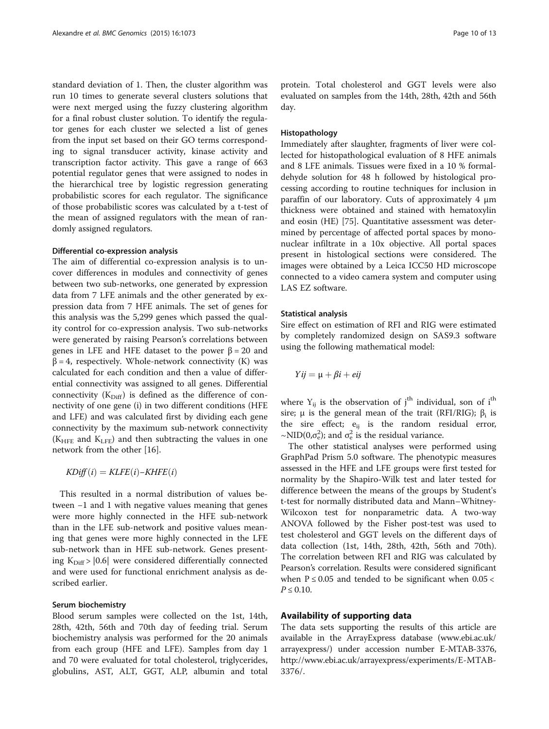standard deviation of 1. Then, the cluster algorithm was run 10 times to generate several clusters solutions that were next merged using the fuzzy clustering algorithm for a final robust cluster solution. To identify the regulator genes for each cluster we selected a list of genes from the input set based on their GO terms corresponding to signal transducer activity, kinase activity and transcription factor activity. This gave a range of 663 potential regulator genes that were assigned to nodes in the hierarchical tree by logistic regression generating probabilistic scores for each regulator. The significance of those probabilistic scores was calculated by a t-test of the mean of assigned regulators with the mean of randomly assigned regulators.

#### Differential co-expression analysis

The aim of differential co-expression analysis is to uncover differences in modules and connectivity of genes between two sub-networks, one generated by expression data from 7 LFE animals and the other generated by expression data from 7 HFE animals. The set of genes for this analysis was the 5,299 genes which passed the quality control for co-expression analysis. Two sub-networks were generated by raising Pearson's correlations between genes in LFE and HFE dataset to the power  $β = 20$  and  $\beta = 4$ , respectively. Whole-network connectivity (K) was calculated for each condition and then a value of differential connectivity was assigned to all genes. Differential connectivity  $(K<sub>Diff</sub>)$  is defined as the difference of connectivity of one gene (i) in two different conditions (HFE and LFE) and was calculated first by dividing each gene connectivity by the maximum sub-network connectivity  $(K<sub>HFE</sub>$  and  $K<sub>LFF</sub>$ ) and then subtracting the values in one network from the other [[16](#page-10-0)].

$$
KDiff(i) = KLFE(i) - KHFE(i)
$$

This resulted in a normal distribution of values between −1 and 1 with negative values meaning that genes were more highly connected in the HFE sub-network than in the LFE sub-network and positive values meaning that genes were more highly connected in the LFE sub-network than in HFE sub-network. Genes presenting  $K_{Diff}$  >  $|0.6|$  were considered differentially connected and were used for functional enrichment analysis as described earlier.

#### Serum biochemistry

Blood serum samples were collected on the 1st, 14th, 28th, 42th, 56th and 70th day of feeding trial. Serum biochemistry analysis was performed for the 20 animals from each group (HFE and LFE). Samples from day 1 and 70 were evaluated for total cholesterol, triglycerides, globulins, AST, ALT, GGT, ALP, albumin and total protein. Total cholesterol and GGT levels were also evaluated on samples from the 14th, 28th, 42th and 56th day.

#### Histopathology

Immediately after slaughter, fragments of liver were collected for histopathological evaluation of 8 HFE animals and 8 LFE animals. Tissues were fixed in a 10 % formaldehyde solution for 48 h followed by histological processing according to routine techniques for inclusion in paraffin of our laboratory. Cuts of approximately 4 μm thickness were obtained and stained with hematoxylin and eosin (HE) [\[75\]](#page-12-0). Quantitative assessment was determined by percentage of affected portal spaces by mononuclear infiltrate in a 10x objective. All portal spaces present in histological sections were considered. The images were obtained by a Leica ICC50 HD microscope connected to a video camera system and computer using LAS EZ software.

#### Statistical analysis

Sire effect on estimation of RFI and RIG were estimated by completely randomized design on SAS9.3 software using the following mathematical model:

$$
Yij = \mu + \beta i + \text{eij}
$$

where  $Y_{ij}$  is the observation of j<sup>th</sup> individual, son of i<sup>th</sup> sire;  $\mu$  is the general mean of the trait (RFI/RIG);  $\beta_i$  is the sire effect;  $e_{ij}$  is the random residual error, ~NID( $0,\sigma_e^2$ ); and  $\sigma_e^2$  is the residual variance.

The other statistical analyses were performed using GraphPad Prism 5.0 software. The phenotypic measures assessed in the HFE and LFE groups were first tested for normality by the Shapiro-Wilk test and later tested for difference between the means of the groups by Student's t-test for normally distributed data and Mann–Whitney-Wilcoxon test for nonparametric data. A two-way ANOVA followed by the Fisher post-test was used to test cholesterol and GGT levels on the different days of data collection (1st, 14th, 28th, 42th, 56th and 70th). The correlation between RFI and RIG was calculated by Pearson's correlation. Results were considered significant when  $P \le 0.05$  and tended to be significant when  $0.05 <$  $P \le 0.10$ .

#### Availability of supporting data

The data sets supporting the results of this article are available in the ArrayExpress database [\(www.ebi.ac.uk/](http://www.ebi.ac.uk/arrayexpress/) [arrayexpress/\)](http://www.ebi.ac.uk/arrayexpress/) under accession number E-MTAB-3376, [http://www.ebi.ac.uk/arrayexpress/experiments/E-MTAB-](http://www.ebi.ac.uk/arrayexpress/experiments/E-MTAB-3376/)[3376/.](http://www.ebi.ac.uk/arrayexpress/experiments/E-MTAB-3376/)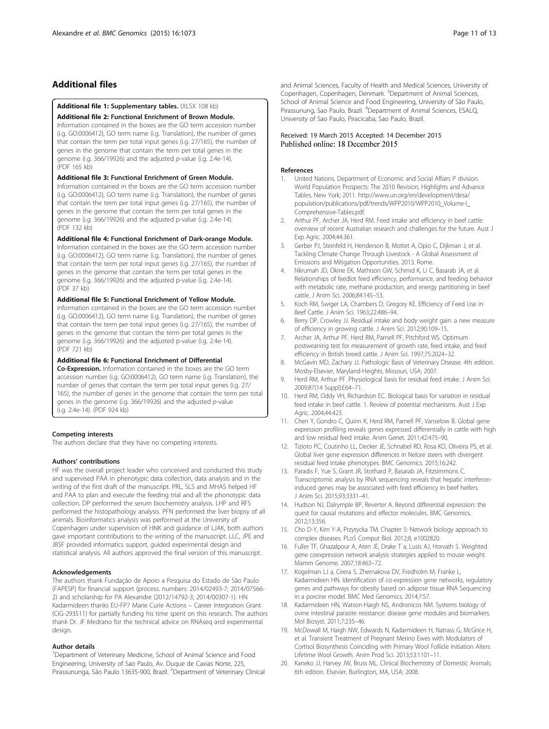## <span id="page-10-0"></span>Additional files

#### [Additional file 1:](dx.doi.org/10.1186/s12864-015-2292-8) Supplementary tables. (XLSX 108 kb)

[Additional file 2:](dx.doi.org/10.1186/s12864-015-2292-8) Functional Enrichment of Brown Module. Information contained in the boxes are the GO term accession number (i.g. GO:0006412), GO term name (i.g. Translation), the number of genes that contain the term per total input genes (i.g. 27/165), the number of genes in the genome that contain the term per total genes in the genome (i.g. 366/19926) and the adjusted p-value (i.g. 2.4e-14). (PDF 165 kb)

#### [Additional file 3:](dx.doi.org/10.1186/s12864-015-2292-8) Functional Enrichment of Green Module.

Information contained in the boxes are the GO term accession number (i.g. GO:0006412), GO term name (i.g. Translation), the number of genes that contain the term per total input genes (i.g. 27/165), the number of genes in the genome that contain the term per total genes in the genome (i.g. 366/19926) and the adjusted p-value (i.g. 2.4e-14). (PDF 132 kb)

## [Additional file 4:](dx.doi.org/10.1186/s12864-015-2292-8) Functional Enrichment of Dark-orange Module.

Information contained in the boxes are the GO term accession number (i.g. GO:0006412), GO term name (i.g. Translation), the number of genes that contain the term per total input genes (i.g. 27/165), the number of genes in the genome that contain the term per total genes in the genome (i.g. 366/19926) and the adjusted p-value (i.g. 2.4e-14). (PDF 37 kb)

#### [Additional file 5:](dx.doi.org/10.1186/s12864-015-2292-8) Functional Enrichment of Yellow Module.

Information contained in the boxes are the GO term accession number (i.g. GO:0006412), GO term name (i.g. Translation), the number of genes that contain the term per total input genes (i.g. 27/165), the number of genes in the genome that contain the term per total genes in the genome (i.g. 366/19926) and the adjusted p-value (i.g. 2.4e-14). (PDF 721 kb)

#### [Additional file 6:](dx.doi.org/10.1186/s12864-015-2292-8) Functional Enrichment of Differential

Co-Expression. Information contained in the boxes are the GO term accession number (i.g. GO:0006412), GO term name (i.g. Translation), the number of genes that contain the term per total input genes (i.g. 27/ 165), the number of genes in the genome that contain the term per total genes in the genome (i.g. 366/19926) and the adjusted p-value (i.g. 2.4e-14). (PDF 924 kb)

#### Competing interests

The authors declare that they have no competing interests.

#### Authors' contributions

HF was the overall project leader who conceived and conducted this study and supervised PAA in phenotypic data collection, data analysis and in the writing of the first draft of the manuscript. PRL, SLS and MHAS helped HF and PAA to plan and execute the feeding trial and all the phonotypic data collection. DP performed the serum biochemistry analysis. LHP and RFS performed the histopathology analysis. PFN performed the liver biopsy of all animals. Bioinformatics analysis was performed at the University of Copenhagen under supervision of HNK and guidance of LJAK, both authors gave important contributions to the writing of the manuscript. LLC, JPE and JBSF provided informatics support, guided experimental design and statistical analysis. All authors approved the final version of this manuscript.

#### Acknowledgements

The authors thank Fundação de Apoio a Pesquisa do Estado de São Paulo (FAPESP) for financial support (process. numbers: 2014/02493-7; 2014/07566- 2) and scholarship for PA Alexandre (2012/14792-3; 2014/00307-1). HN Kadarmideen thanks EU-FP7 Marie Curie Actions – Career Integration Grant (CIG-293511) for partially funding his time spent on this research. The authors thank Dr. JF Medrano for the technical advice on RNAseq and experimental design.

#### Author details

<sup>1</sup>Department of Veterinary Medicine, School of Animal Science and Food Engineering, University of Sao Paulo, Av. Duque de Caxias Norte, 225, Pirassununga, São Paulo 13635-900, Brazil. <sup>2</sup> Department of Veterinary Clinical and Animal Sciences, Faculty of Health and Medical Sciences, University of Copenhagen, Copenhagen, Denmark. <sup>3</sup>Department of Animal Sciences, School of Animal Science and Food Engineering, University of São Paulo, Pirassunung, Sao Paulo, Brazil. <sup>4</sup>Department of Animal Sciences, ESALQ University of Sao Paulo, Piracicaba, Sao Paulo, Brazil.

#### Received: 19 March 2015 Accepted: 14 December 2015 Published online: 18 December 2015

#### References

- 1. United Nations, Department of Economic and Social Affairs P division. World Population Prospects: The 2010 Revision, Highlights and Advance Tables. New York; 2011. [http://www.un.org/en/development/desa/](http://www.un.org/en/development/desa/population/publications/pdf/trends/WPP2010/WPP2010_Volume-I_Comprehensive-Tables.pdf) [population/publications/pdf/trends/WPP2010/WPP2010\\_Volume-I\\_](http://www.un.org/en/development/desa/population/publications/pdf/trends/WPP2010/WPP2010_Volume-I_Comprehensive-Tables.pdf) [Comprehensive-Tables.pdf.](http://www.un.org/en/development/desa/population/publications/pdf/trends/WPP2010/WPP2010_Volume-I_Comprehensive-Tables.pdf)
- 2. Arthur PF, Archer JA, Herd RM. Feed intake and efficiency in beef cattle: overview of recent Australian research and challenges for the future. Aust J Exp Agric. 2004;44:361.
- 3. Gerber PJ, Steinfeld H, Henderson B, Mottet A, Opio C, Dijkman J, et al. Tackling Climate Change Through Livestock - A Global Assessment of Emissions and Mitigation Opportunities. 2013. Rome.
- 4. Nkrumah JD, Okine EK, Mathison GW, Schmid K, Li C, Basarab JA, et al. Relationships of feedlot feed efficiency, performance, and feeding behavior with metabolic rate, methane production, and energy partitioning in beef cattle. J Anim Sci. 2006;84:145–53.
- 5. Koch RM, Swiger LA, Chambers D, Gregory KE. Efficiency of Feed Use in Beef Cattle. J Anim Sci. 1963;22:486–94.
- 6. Berry DP, Crowley JJ. Residual intake and body weight gain: a new measure of efficiency in growing cattle. J Anim Sci. 2012;90:109–15.
- 7. Archer JA, Arthur PF, Herd RM, Parnell PF, Pitchford WS. Optimum postweaning test for measurement of growth rate, feed intake, and feed efficiency in British breed cattle. J Anim Sci. 1997;75:2024–32.
- 8. McGavin MD, Zachary JJ. Pathologic Basis of Veterinary Disease. 4th edition. Mosby-Elsevier, Maryland-Heights, Missouri, USA; 2007.
- 9. Herd RM, Arthur PF. Physiological basis for residual feed intake. J Anim Sci. 2009;87(14 Suppl):E64–71.
- 10. Herd RM, Oddy VH, Richardson EC. Biological basis for variation in residual feed intake in beef cattle. 1. Review of potential mechanisms. Aust J Exp Agric. 2004;44:423.
- 11. Chen Y, Gondro C, Quinn K, Herd RM, Parnell PF, Vanselow B. Global gene expression profiling reveals genes expressed differentially in cattle with high and low residual feed intake. Anim Genet. 2011;42:475–90.
- 12. Tizioto PC, Coutinho LL, Decker JE, Schnabel RD, Rosa KO, Oliveira PS, et al. Global liver gene expression differences in Nelore steers with divergent residual feed intake phenotypes. BMC Genomics. 2015;16:242.
- 13. Paradis F, Yue S, Grant JR, Stothard P, Basarab JA, Fitzsimmons C. Transcriptomic analysis by RNA sequencing reveals that hepatic interferoninduced genes may be associated with feed efficiency in beef heifers. J Anim Sci. 2015;93:3331–41.
- 14. Hudson NJ, Dalrymple BP, Reverter A. Beyond differential expression: the quest for causal mutations and effector molecules. BMC Genomics. 2012;13:356.
- 15. Cho D-Y, Kim Y-A, Przytycka TM. Chapter 5: Network biology approach to complex diseases. PLoS Comput Biol. 2012;8, e1002820.
- 16. Fuller TF, Ghazalpour A, Aten JE, Drake T a, Lusis AJ, Horvath S. Weighted gene coexpression network analysis strategies applied to mouse weight. Mamm Genome. 2007;18:463–72.
- 17. Kogelman LJ a, Cirera S, Zhernakova DV, Fredholm M, Franke L, Kadarmideen HN. Identification of co-expression gene networks, regulatory genes and pathways for obesity based on adipose tissue RNA Sequencing in a porcine model. BMC Med Genomics. 2014;7:57.
- 18. Kadarmideen HN, Watson-Haigh NS, Andronicos NM. Systems biology of ovine intestinal parasite resistance: disease gene modules and biomarkers. Mol Biosyst. 2011;7:235–46.
- 19. McDowall M, Haigh NW, Edwards N, Kadarmideen H, Natrass G, McGrice H, et al. Transient Treatment of Pregnant Merino Ewes with Modulators of Cortisol Biosynthesis Coinciding with Primary Wool Follicle Initiation Alters Lifetime Wool Growth. Anim Prod Sci. 2013;53:1101–11.
- 20. Kaneko JJ, Harvey JW, Bruss ML. Clinical Biochemistry of Domestic Animals. 6th edition. Elsevier, Burlington, MA, USA; 2008.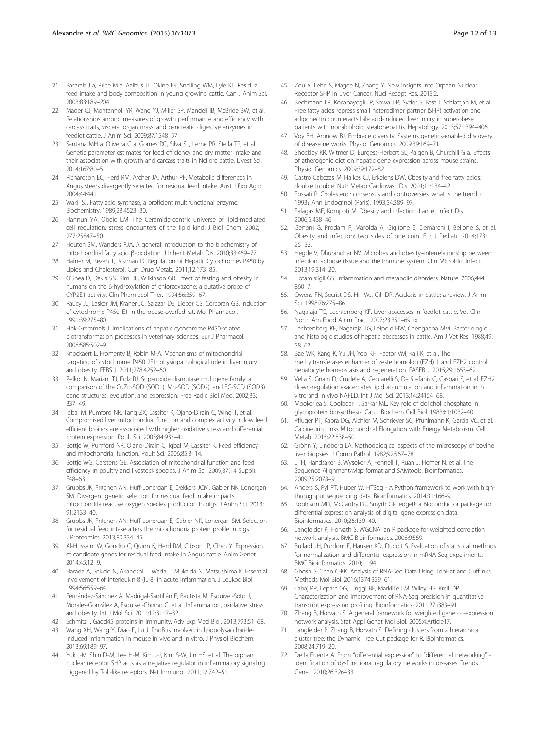- <span id="page-11-0"></span>21. Basarab J a, Price M a, Aalhus JL, Okine EK, Snelling WM, Lyle KL. Residual feed intake and body composition in young growing cattle. Can J Anim Sci. 2003;83:189–204.
- 22. Mader CJ, Montanholi YR, Wang YJ, Miller SP, Mandell IB, McBride BW, et al. Relationships among measures of growth performance and efficiency with carcass traits, visceral organ mass, and pancreatic digestive enzymes in feedlot cattle. J Anim Sci. 2009;87:1548–57.
- 23. Santana MH a, Oliveira G a, Gomes RC, Silva SL, Leme PR, Stella TR, et al. Genetic parameter estimates for feed efficiency and dry matter intake and their association with growth and carcass traits in Nellore cattle. Livest Sci. 2014;167:80–5.
- 24. Richardson EC, Herd RM, Archer JA, Arthur PF. Metabolic differences in Angus steers divergently selected for residual feed intake. Aust J Exp Agric. 2004;44:441.
- 25. Wakil SJ. Fatty acid synthase, a proficient multifunctional enzyme. Biochemistry. 1989;28:4523–30.
- 26. Hannun YA, Obeid LM. The Ceramide-centric universe of lipid-mediated cell regulation: stress encounters of the lipid kind. J Biol Chem. 2002; 277:25847–50.
- 27. Houten SM, Wanders RJA. A general introduction to the biochemistry of mitochondrial fatty acid β-oxidation. J Inherit Metab Dis. 2010;33:469–77.
- 28. Hafner M, Rezen T, Rozman D. Regulation of Hepatic Cytochromes P450 by Lipids and Cholesterol. Curr Drug Metab. 2011;12:173–85.
- 29. O'Shea D, Davis SN, Kim RB, Wilkinson GR. Effect of fasting and obesity in humans on the 6-hydroxylation of chlorzoxazone: a putative probe of CYP2E1 activity. Clin Pharmacol Ther. 1994;56:359–67.
- 30. Raucy JL, Lasker JM, Kraner JC, Salazar DE, Lieber CS, Corcoran GB. Induction of cytochrome P450IIE1 in the obese overfed rat. Mol Pharmacol. 1991;39:275–80.
- 31. Fink-Gremmels J. Implications of hepatic cytochrome P450-related biotransformation processes in veterinary sciences. Eur J Pharmacol. 2008;585:502–9.
- 32. Knockaert L, Fromenty B, Robin M-A. Mechanisms of mitochondrial targeting of cytochrome P450 2E1: physiopathological role in liver injury and obesity. FEBS J. 2011;278:4252–60.
- 33. Zelko IN, Mariani TJ, Folz RJ. Superoxide dismutase multigene family: a comparison of the CuZn-SOD (SOD1), Mn-SOD (SOD2), and EC-SOD (SOD3) gene structures, evolution, and expression. Free Radic Biol Med. 2002;33: 337–49.
- 34. Iqbal M, Pumford NR, Tang ZX, Lassiter K, Ojano-Dirain C, Wing T, et al. Compromised liver mitochondrial function and complex activity in low feed efficient broilers are associated with higher oxidative stress and differential protein expression. Poult Sci. 2005;84:933–41.
- 35. Bottje W, Pumford NR, Ojano-Dirain C, Iqbal M, Lassiter K. Feed efficiency and mitochondrial function. Poult Sci. 2006;85:8–14.
- 36. Bottje WG, Carstens GE. Association of mitochondrial function and feed efficiency in poultry and livestock species. J Anim Sci. 2009;87(14 Suppl): E48–63.
- 37. Grubbs JK, Fritchen AN, Huff-Lonergan E, Dekkers JCM, Gabler NK, Lonergan SM. Divergent genetic selection for residual feed intake impacts mitochondria reactive oxygen species production in pigs. J Anim Sci. 2013; 91:2133–40.
- 38. Grubbs JK, Fritchen AN, Huff-Lonergan E, Gabler NK, Lonergan SM. Selection for residual feed intake alters the mitochondria protein profile in pigs. J Proteomics. 2013;80:334–45.
- 39. Al-Husseini W, Gondro C, Quinn K, Herd RM, Gibson JP, Chen Y. Expression of candidate genes for residual feed intake in Angus cattle. Anim Genet. 2014;45:12–9.
- 40. Harada A, Sekido N, Akahoshi T, Wada T, Mukaida N, Matsushima K. Essential involvement of interleukin-8 (IL-8) in acute inflammation. J Leukoc Biol. 1994;56:559–64.
- 41. Fernández-Sánchez A, Madrigal-Santillán E, Bautista M, Esquivel-Soto J, Morales-González A, Esquivel-Chirino C, et al. Inflammation, oxidative stress, and obesity. Int J Mol Sci. 2011;12:3117–32.
- 42. Schmitz I. Gadd45 proteins in immunity. Adv Exp Med Biol. 2013;793:51–68.
- 43. Wang XH, Wang Y, Diao F, Lu J. RhoB is involved in lipopolysaccharideinduced inflammation in mouse in vivo and in vitro. J Physiol Biochem. 2013;69:189–97.
- 44. Yuk J-M, Shin D-M, Lee H-M, Kim J-J, Kim S-W, Jin HS, et al. The orphan nuclear receptor SHP acts as a negative regulator in inflammatory signaling triggered by Toll-like receptors. Nat Immunol. 2011;12:742–51.
- 45. Zou A, Lehn S, Magee N, Zhang Y. New Insights into Orphan Nuclear Receptor SHP in Liver Cancer. Nucl Recept Res. 2015;2.
- 46. Bechmann LP, Kocabayoglu P, Sowa J-P, Sydor S, Best J, Schlattjan M, et al. Free fatty acids repress small heterodimer partner (SHP) activation and adiponectin counteracts bile acid-induced liver injury in superobese patients with nonalcoholic steatohepatitis. Hepatology. 2013;57:1394–406.
- 47. Voy BH, Aronow BJ. Embrace diversity! Systems genetics-enabled discovery of disease networks. Physiol Genomics. 2009;39:169–71.
- 48. Shockley KR, Witmer D, Burgess-Herbert SL, Paigen B, Churchill G a. Effects of atherogenic diet on hepatic gene expression across mouse strains. Physiol Genomics. 2009;39:172–82.
- 49. Castro Cabezas M, Halkes CJ, Erkelens DW. Obesity and free fatty acids: double trouble. Nutr Metab Cardiovasc Dis. 2001;11:134–42.
- 50. Fossati P. Cholesterol: consensus and controversies, what is the trend in 1993? Ann Endocrinol (Paris). 1993;54:389–97.
- 51. Falagas ME, Kompoti M. Obesity and infection. Lancet Infect Dis. 2006;6:438–46.
- 52. Genoni G, Prodam F, Marolda A, Giglione E, Demarchi I, Bellone S, et al. Obesity and infection: two sides of one coin. Eur J Pediatr. 2014;173: 25–32.
- 53. Hegde V, Dhurandhar NV. Microbes and obesity–interrelationship between infection, adipose tissue and the immune system. Clin Microbiol Infect. 2013;19:314–20.
- 54. Hotamisligil GS. Inflammation and metabolic disorders. Nature. 2006;444: 860–7.
- 55. Owens FN, Secrist DS, Hill WJ, Gill DR. Acidosis in cattle: a review. J Anim Sci. 1998;76:275–86.
- 56. Nagaraja TG, Lechtenberg KF. Liver abscesses in feedlot cattle. Vet Clin North Am Food Anim Pract. 2007;23:351–69. ix.
- 57. Lechtenberg KF, Nagaraja TG, Leipold HW, Chengappa MM. Bacteriologic and histologic studies of hepatic abscesses in cattle. Am J Vet Res. 1988;49: 58–62.
- 58. Bae WK, Kang K, Yu JH, Yoo KH, Factor VM, Kaji K, et al. The methyltransferases enhancer of zeste homolog (EZH) 1 and EZH2 control hepatocyte homeostasis and regeneration. FASEB J. 2015;29:1653–62.
- 59. Vella S, Gnani D, Crudele A, Ceccarelli S, De Stefanis C, Gaspari S, et al. EZH2 down-regulation exacerbates lipid accumulation and inflammation in in vitro and in vivo NAFLD. Int J Mol Sci. 2013;14:24154–68.
- 60. Mookerjea S, Coolbear T, Sarkar ML. Key role of dolichol phosphate in glycoprotein biosynthesis. Can J Biochem Cell Biol. 1983;61:1032–40.
- 61. Pfluger PT, Kabra DG, Aichler M, Schriever SC, Pfuhlmann K, García VC, et al. Calcineurin Links Mitochondrial Elongation with Energy Metabolism. Cell Metab. 2015;22:838–50.
- 62. Gröhn Y, Lindberg LA. Methodological aspects of the microscopy of bovine liver biopsies. J Comp Pathol. 1982;92:567–78.
- 63. Li H, Handsaker B, Wysoker A, Fennell T, Ruan J, Homer N, et al. The Sequence Alignment/Map format and SAMtools. Bioinformatics. 2009;25:2078–9.
- 64. Anders S, Pyl PT, Huber W. HTSeq A Python framework to work with highthroughput sequencing data. Bioinformatics. 2014;31:166–9.
- 65. Robinson MD, McCarthy DJ, Smyth GK. edgeR: a Bioconductor package for differential expression analysis of digital gene expression data. Bioinformatics. 2010;26:139–40.
- 66. Langfelder P, Horvath S. WGCNA: an R package for weighted correlation network analysis. BMC Bioinformatics. 2008;9:559.
- 67. Bullard JH, Purdom E, Hansen KD, Dudoit S. Evaluation of statistical methods for normalization and differential expression in mRNA-Seq experiments. BMC Bioinformatics. 2010;11:94.
- 68. Ghosh S, Chan C-KK. Analysis of RNA-Seq Data Using TopHat and Cufflinks. Methods Mol Biol. 2016;1374:339–61.
- 69. Łabaj PP, Leparc GG, Linggi BE, Markillie LM, Wiley HS, Kreil DP. Characterization and improvement of RNA-Seq precision in quantitative transcript expression profiling. Bioinformatics. 2011;27:i383–91.
- 70. Zhang B, Horvath S. A general framework for weighted gene co-expression network analysis. Stat Appl Genet Mol Biol. 2005;4:Article17.
- 71. Langfelder P, Zhang B, Horvath S. Defining clusters from a hierarchical cluster tree: the Dynamic Tree Cut package for R. Bioinformatics. 2008;24:719–20.
- 72. De la Fuente A. From "differential expression" to "differential networking" identification of dysfunctional regulatory networks in diseases. Trends Genet. 2010;26:326–33.